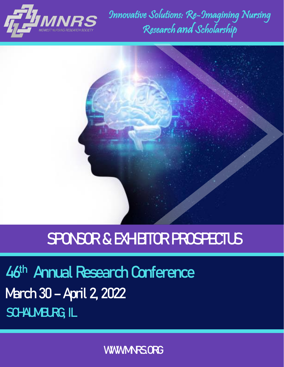

Innovative Solutions: Re-Imagining Nursing Research and Scholarship



# **SPONSOR & EXHIBITOR PROSPECTUS**

**46th Annual Research Conference March 30 – April 2, 2022**  SCHALM**BURG, IL** 

WWW.MRS.ORG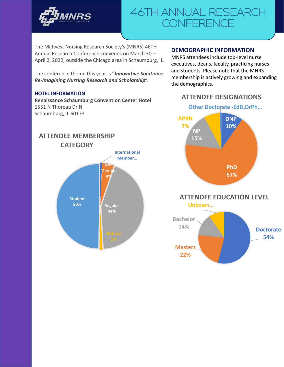

The Midwest Nursing Research Society's (MNRS) 46TH Annual Research Conference convenes on March 30 – April 2, 2022, outside the Chicago area in Schaumburg, IL.

The conference theme this year is **"***Innovative Solutions: Re-Imagining Nursing Research and Scholarship***".**

#### **HOTEL INFORMATION**

**Renaissance Schaumburg Convention Center Hotel** 1551 N Thoreau Dr N Schaumburg, IL 60173

#### **DEMOGRAPHIC INFORMATION**

MNRS attendees include top-level nurse executives, deans, faculty, practicing nurses and students. Please note that the MNRS membership is actively growing and expanding the demographics.

### **ATTENDEE DESIGNATIONS**

**Other Doctorate -EdD,DrPh…**



**ATTENDEE EDUCATION LEVEL**

**Unkown…**



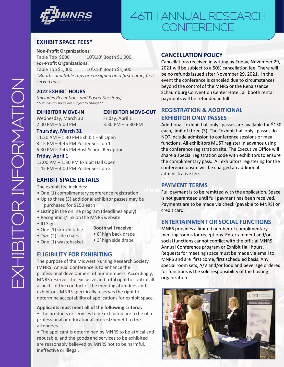

#### **EXHIBIT SPACE FEES\***

**Non-Profit Organizations:** Table Top \$600 10'X10' Booth \$1,000 **For-Profit Organizations:**

Table Top \$1,000 10'X10' Booth \$1,500 *\*Booths and table tops are assigned on a first-come, firstserved basis.*

#### **2022 EXHIBIT HOURS**

*(Includes Receptions and Poster Sessions) \*\*Exhibit Hall hours are subject to change\*\**

Wednesday, March 30 Friday, April 1 2:00 PM – 5:00 PM 3:30 PM – 5:30 PM

#### **EXHIBITOR MOVE-IN EXHIBITOR MOVE-OUT**

#### **Thursday, March 31**

11:30 AM – 1:30 PM Exhibit Hall Open 3:15 PM – 4:45 PM Poster Session 1 6:30 PM – 7:45 PM Host School Reception

#### **Friday, April 1**

12:00 PM – 1:30 PM Exhibit Hall Open 1:45 PM – 3:00 PM Poster Session 2

#### **EXHIBIT SPACE DETAILS**

The exhibit fee includes:

- One (1) complimentary conference registration
- Up to three (3) additional exhibitor passes may be purchased for \$150 each
- Listing in the online program (deadlines apply)
- Recognition/link on the MNRS website
- ID Sign
- **Booth will receive:**
- One (1) skirted table • Two (2) side chairs
- 8' high back drape
- One (1) wastebasket
- 3' high side drape

#### **ELIGIBILITY FOR EXHIBITING**

The purpose of the Midwest Nursing Research Society (MNRS) Annual Conference is to enhance the professional development of our members. Accordingly, MNRS reserves the exclusive and total right to control all aspects of the conduct of the meeting attendees and exhibitors. MNRS specifically reserves the right to determine acceptability of applications for exhibit space.

#### **Applicants must meet all of the following criteria:**

• The products or services to be exhibited are to be of a professional or educational interest/benefit to the attendees.

• The applicant is determined by MNRS to be ethical and reputable, and the goods and services to be exhibited are reasonably believed by MNRS not to be harmful, ineffective or illegal.

#### **CANCELLATION POLICY**

Cancellations received in writing by Friday, November 29, 2021 will be subject to a 50% cancellation fee. There will be no refunds issued after November 29, 2021. In the event the conference is canceled due to circumstances beyond the control of the MNRS or the Renaissance Schaumburg Convention Center Hotel, all booth rental payments will be refunded in full.

#### **REGISTRATION & ADDITIONAL EXHIBITOR ONLY PASSES**

Additional "exhibit hall only" passes are available for \$150 each, limit of three (3). The "exhibit hall only" passes do NOT include admission to conference sessions or meal functions. All exhibitors MUST register in advance using the conference registration site. The Executive Office will share a special registration code with exhibitors to ensure the complimentary pass. All exhibitors registering for the conference onsite will be charged an additional administrative fee.

#### **PAYMENT TERMS**

Full payment is to be remitted with the application. Space is not guaranteed until full payment has been received. Payments are to be made via check (payable to MNRS) or credit card.

#### **ENTERTAINMENT OR SOCIAL FUNCTIONS**

MNRS provides a limited number of complimentary meeting rooms for receptions. Entertainment and/or social functions cannot conflict with the official MNRS Annual Conference program or Exhibit Hall hours. Requests for meeting space must be made via email to MNRS and are first come, first scheduled basis. Any special room sets, A/V and/or food and beverage ordered for functions is the sole responsibility of the hosting organization.

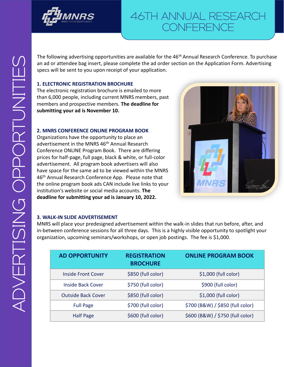

The following advertising opportunities are available for the 46<sup>th</sup> Annual Research Conference. To purchase an ad or attendee bag insert, please complete the ad order section on the Application Form. Advertising specs will be sent to you upon receipt of your application.

#### **1. ELECTRONIC REGISTRATION BROCHURE**

The electronic registration brochure is emailed to more than 6,000 people, including current MNRS members, past members and prospective members. **The deadline for submitting your ad is November 10.**

#### **2. MNRS CONFERENCE ONLINE PROGRAM BOOK**

Organizations have the opportunity to place an advertisement in the MNRS 46<sup>th</sup> Annual Research Conference ONLINE Program Book. There are differing prices for half-page, full page, black & white, or full-color advertisement. All program book advertisers will also have space for the same ad to be viewed within the MNRS 46<sup>th</sup> Annual Research Conference App. Please note that the online program book ads CAN include live links to your institution's website or social media accounts. **The deadline for submitting your ad is January 10, 2022.**



#### **3. WALK-IN SLIDE ADVERTISEMENT**

MNRS will place your predesigned advertisement within the walk-in slides that run before, after, and in-between conference sessions for all three days. This is a highly visible opportunity to spotlight your organization, upcoming seminars/workshops, or open job postings. The fee is \$1,000.

| <b>AD OPPORTUNITY</b>     | <b>REGISTRATION</b><br><b>BROCHURE</b> | <b>ONLINE PROGRAM BOOK</b>       |
|---------------------------|----------------------------------------|----------------------------------|
| <b>Inside Front Cover</b> | \$850 (full color)                     | $$1,000$ (full color)            |
| Inside Back Cover         | \$750 (full color)                     | \$900 (full color)               |
| <b>Outside Back Cover</b> | \$850 (full color)                     | $$1,000$ (full color)            |
| <b>Full Page</b>          | \$700 (full color)                     | \$700 (B&W) / \$850 (full color) |
| <b>Half Page</b>          | \$600 (full color)                     | \$600 (B&W) / \$750 (full color) |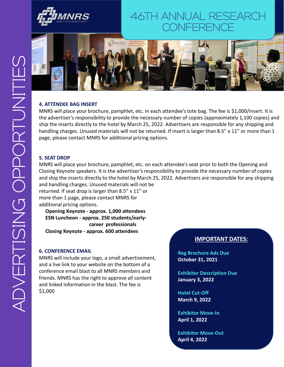



#### **4. ATTENDEE BAG INSERT**

MNRS will place your brochure, pamphlet, etc. in each attendee's tote bag. The fee is \$1,000/insert. It is the advertiser's responsibility to provide the necessary number of copies (approximately 1,100 copies) and ship the inserts directly to the hotel by March 25, 2022. Advertisers are responsible for any shipping and handling charges. Unused materials will not be returned. If insert is larger than 8.5" x 11" or more than 1 page, please contact MNRS for additional pricing options.

#### **5. SEAT DROP**

MNRS will place your brochure, pamphlet, etc. on each attendee's seat prior to both the Opening and Closing Keynote speakers. It is the advertiser's responsibility to provide the necessary number of copies and ship the inserts directly to the hotel by March 25, 2022. Advertisers are responsible for any shipping and handling charges. Unused materials will not be returned. If seat drop is larger than 8.5" x 11" or more than 1 page, please contact MNRS for

additional pricing options.

**Opening Keynote - approx. 1,000 attendees ESN Luncheon - approx. 250 students/earlycareer professionals Closing Keynote - approx. 600 attendees**

#### **6. CONFERENCE EMAIL**

MNRS will include your logo, a small advertisement, and a live link to your website on the bottom of a conference email blast to all MNRS members and friends. MNRS has the right to approve all content and linked information in the blast. The fee is \$1,000

#### **IMPORTANT DATES:**

**Reg Brochure Ads Due October 31, 2021**

**Exhibitor Description Due January 3, 2022**

**Hotel Cut-Off March 9, 2022**

**Exhibitor Move-In April 1, 2022**

**Exhibitor Move-Out April 4, 2022**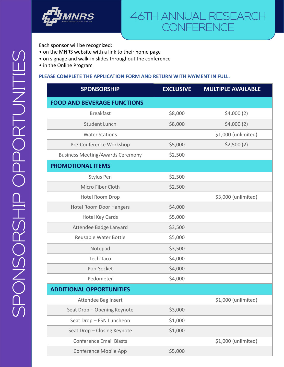

Each sponsor will be recognized:

- on the MNRS website with a link to their home page
- on signage and walk-in slides throughout the conference
- in the Online Program

#### **PLEASE COMPLETE THE APPLICATION FORM AND RETURN WITH PAYMENT IN FULL.**

| <b>SPONSORSHIP</b>                      | <b>EXCLUSIVE</b> | <b>MULTIPLE AVAILABLE</b> |
|-----------------------------------------|------------------|---------------------------|
| <b>FOOD AND BEVERAGE FUNCTIONS</b>      |                  |                           |
| <b>Breakfast</b>                        | \$8,000          | \$4,000(2)                |
| <b>Student Lunch</b>                    | \$8,000          | \$4,000(2)                |
| <b>Water Stations</b>                   |                  | \$1,000 (unlimited)       |
| Pre-Conference Workshop                 | \$5,000          | \$2,500(2)                |
| <b>Business Meeting/Awards Ceremony</b> | \$2,500          |                           |
| <b>PROMOTIONAL ITEMS</b>                |                  |                           |
| <b>Stylus Pen</b>                       | \$2,500          |                           |
| Micro Fiber Cloth                       | \$2,500          |                           |
| Hotel Room Drop                         |                  | \$3,000 (unlimited)       |
| <b>Hotel Room Door Hangers</b>          | \$4,000          |                           |
| <b>Hotel Key Cards</b>                  | \$5,000          |                           |
| Attendee Badge Lanyard                  | \$3,500          |                           |
| <b>Reusable Water Bottle</b>            | \$5,000          |                           |
| Notepad                                 | \$3,500          |                           |
| <b>Tech Taco</b>                        | \$4,000          |                           |
| Pop-Socket                              | \$4,000          |                           |
| Pedometer                               | \$4,000          |                           |
| <b>ADDITIONAL OPPORTUNITIES</b>         |                  |                           |
| Attendee Bag Insert                     |                  | \$1,000 (unlimited)       |
| Seat Drop - Opening Keynote             | \$3,000          |                           |
| Seat Drop - ESN Luncheon                | \$1,000          |                           |
| Seat Drop - Closing Keynote             | \$1,000          |                           |
| <b>Conference Email Blasts</b>          |                  | \$1,000 (unlimited)       |
| Conference Mobile App                   | \$5,000          |                           |